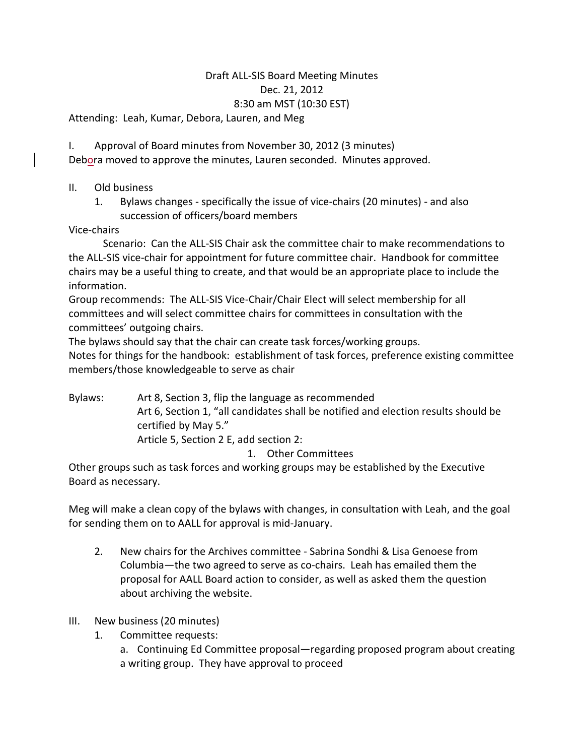## Draft ALL-SIS Board Meeting Minutes Dec. 21, 2012 8:30 am MST (10:30 EST)

Attending: Leah, Kumar, Debora, Lauren, and Meg

I. Approval of Board minutes from November 30, 2012 (3 minutes) Debora moved to approve the minutes, Lauren seconded. Minutes approved.

- II. Old business
	- 1. Bylaws changes specifically the issue of vice-chairs (20 minutes) and also succession of officers/board members

Vice-chairs

Scenario: Can the ALL-SIS Chair ask the committee chair to make recommendations to the ALL-SIS vice-chair for appointment for future committee chair. Handbook for committee chairs may be a useful thing to create, and that would be an appropriate place to include the information.

Group recommends: The ALL-SIS Vice-Chair/Chair Elect will select membership for all committees and will select committee chairs for committees in consultation with the committees' outgoing chairs.

The bylaws should say that the chair can create task forces/working groups.

Notes for things for the handbook: establishment of task forces, preference existing committee members/those knowledgeable to serve as chair

Bylaws: Art 8, Section 3, flip the language as recommended Art 6, Section 1, "all candidates shall be notified and election results should be certified by May 5." Article 5, Section 2 E, add section 2:

1. Other Committees

Other groups such as task forces and working groups may be established by the Executive Board as necessary.

Meg will make a clean copy of the bylaws with changes, in consultation with Leah, and the goal for sending them on to AALL for approval is mid-January.

- 2. New chairs for the Archives committee Sabrina Sondhi & Lisa Genoese from Columbia—the two agreed to serve as co-chairs. Leah has emailed them the proposal for AALL Board action to consider, as well as asked them the question about archiving the website.
- III. New business (20 minutes)
	- 1. Committee requests:

a. Continuing Ed Committee proposal—regarding proposed program about creating a writing group. They have approval to proceed